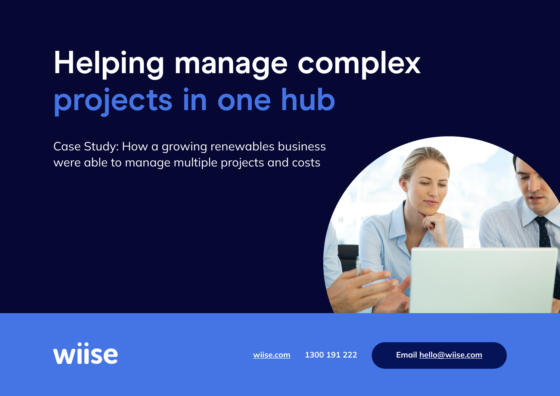# **Helping manage complex projects in one hub**

Case Study: How a growing renewables business were able to manage multiple projects and costs





**[wiise.com](https://wiise.com/) 1300 191 222 [Email hello@wiise.com](mailto:hello%40wiise.com?subject=)**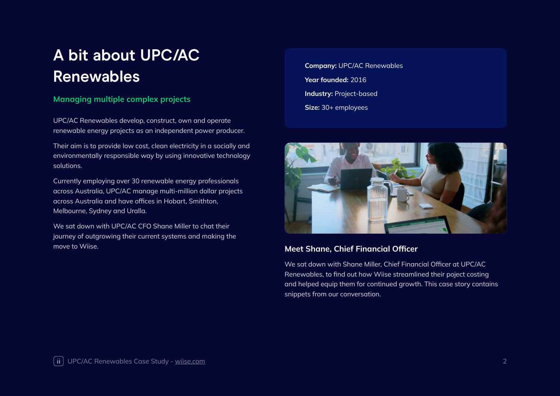### **A bit about UPC/AC Renewables**

#### **Managing multiple complex projects**

UPC/AC Renewables develop, construct, own and operate renewable energy projects as an independent power producer.

Their aim is to provide low cost, clean electricity in a socially and environmentally responsible way by using innovative technology solutions.

Currently employing over 30 renewable energy professionals across Australia, UPC/AC manage multi-million dollar projects across Australia and have offices in Hobart, Smithton, Melbourne, Sydney and Uralla.

We sat down with UPC/AC CFO Shane Miller to chat their journey of outgrowing their current systems and making the move to Wiise.

**Company:** UPC/AC Renewables **Year founded:** 2016 **Industry: Project-based Size:** 30+ employees



#### **Meet Shane, Chief Financial Officer**

We sat down with Shane Miller, Chief Financial Officer at UPC/AC Renewables, to find out how Wiise streamlined their poject costing and helped equip them for continued growth. This case story contains snippets from our conversation.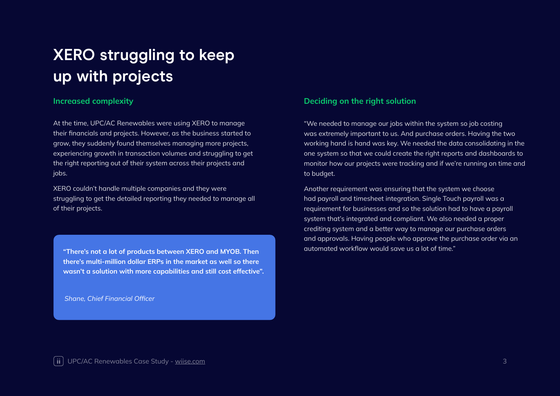### **XERO struggling to keep up with projects**

At the time, UPC/AC Renewables were using XERO to manage their financials and projects. However, as the business started to grow, they suddenly found themselves managing more projects, experiencing growth in transaction volumes and struggling to get the right reporting out of their system across their projects and jobs.

XERO couldn't handle multiple companies and they were struggling to get the detailed reporting they needed to manage all of their projects.

automated workflow would save us a lot of time." **"There's not a lot of products between XERO and MYOB. Then there's multi-million dollar ERPs in the market as well so there wasn't a solution with more capabilities and still cost effective".** 

*Shane, Chief Financial Officer*

#### **Increased complexity** *Deciding on the right solution*

"We needed to manage our jobs within the system so job costing was extremely important to us. And purchase orders. Having the two working hand is hand was key. We needed the data consolidating in the one system so that we could create the right reports and dashboards to monitor how our projects were tracking and if we're running on time and to budget.

Another requirement was ensuring that the system we choose had payroll and timesheet integration. Single Touch payroll was a requirement for businesses and so the solution had to have a payroll system that's integrated and compliant. We also needed a proper crediting system and a better way to manage our purchase orders and approvals. Having people who approve the purchase order via an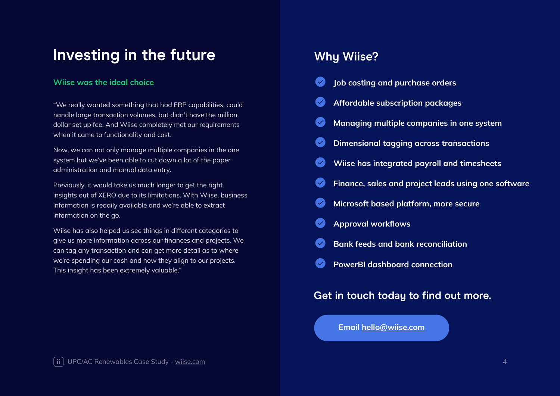### **Investing in the future**

#### **Wiise was the ideal choice**

"We really wanted something that had ERP capabilities, could handle large transaction volumes, but didn't have the million dollar set up fee. And Wiise completely met our requirements when it came to functionality and cost.

Now, we can not only manage multiple companies in the one system but we've been able to cut down a lot of the paper administration and manual data entry.

Previously, it would take us much longer to get the right insights out of XERO due to its limitations. With Wiise, business information is readily available and we're able to extract information on the go.

Wiise has also helped us see things in different categories to give us more information across our finances and projects. We can tag any transaction and can get more detail as to where we're spending our cash and how they align to our projects. This insight has been extremely valuable."

### **Why Wiise?**

|                                      | Job costing and purchase orders                     |
|--------------------------------------|-----------------------------------------------------|
| $\blacktriangledown$                 | Affordable subscription packages                    |
| $\left\vert \mathbf{v}\right\rangle$ | Managing multiple companies in one system           |
| $\blacktriangledown$                 | <b>Dimensional tagging across transactions</b>      |
| $\blacktriangledown$                 | <b>Wiise has integrated payroll and timesheets</b>  |
| $\blacktriangledown$                 | Finance, sales and project leads using one software |
| $\left\vert \mathbf{v}\right\rangle$ | Microsoft based platform, more secure               |
| $\blacktriangledown$                 | <b>Approval workflows</b>                           |
| $\blacktriangledown$                 | <b>Bank feeds and bank reconciliation</b>           |
| $\checkmark$                         | <b>PowerBI dashboard connection</b>                 |
|                                      |                                                     |

### **Get in touch today to find out more.**

**[Email hello@wiise.com](mailto:hello%40wiise.com?subject=)**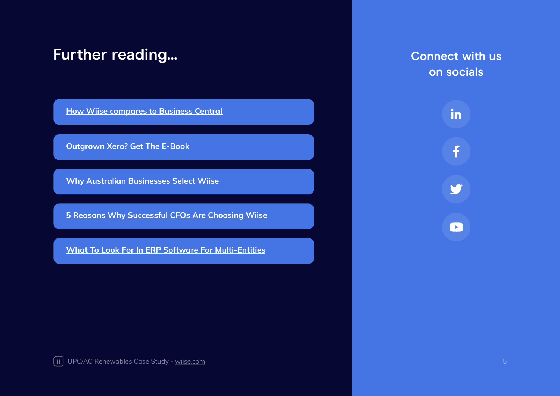### **Further reading...**

**[How Wiise compares to Business Central](https://download.wiise.com/pdf/wiise-bc-comparison.pdf)**

**[Outgrown Xero? Get The E-Book](https://download.wiise.com/pdf/outgrown-xero-ebook.pdf)**

**[Why Australian Businesses Select Wiise](https://download.wiise.com/pdf/why-aussie-businesses-are-choosing-wiise.pdf)**

**[5 Reasons Why Successful CFOs Are Choosing Wiise](https://download.wiise.com/pdf/5-reasons-successful-cfos-choose-wiise.pdf)**

**[What To Look For In ERP Software For Multi-Entities](https://download.wiise.com/pdf/what-to-look-for-in-erp-software-for-multientities.pdf)**

**Connect with us on socials**



**THE START START START START START START START START START START START START START START START START START START START START START START START START START START START START START START START START START START START START S**